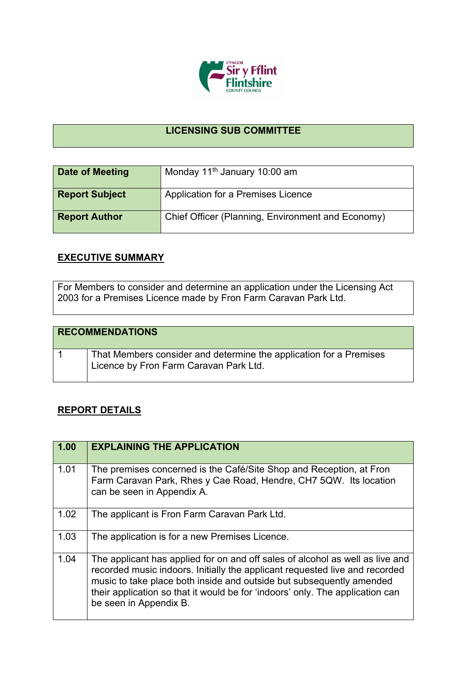

## **LICENSING SUB COMMITTEE**

| Date of Meeting       | Monday 11 <sup>th</sup> January 10:00 am          |
|-----------------------|---------------------------------------------------|
| <b>Report Subject</b> | Application for a Premises Licence                |
| <b>Report Author</b>  | Chief Officer (Planning, Environment and Economy) |

## **EXECUTIVE SUMMARY**

For Members to consider and determine an application under the Licensing Act 2003 for a Premises Licence made by Fron Farm Caravan Park Ltd.

| <b>RECOMMENDATIONS</b> |                                                                                                              |
|------------------------|--------------------------------------------------------------------------------------------------------------|
|                        | That Members consider and determine the application for a Premises<br>Licence by Fron Farm Caravan Park Ltd. |

## **REPORT DETAILS**

| 1.00 | <b>EXPLAINING THE APPLICATION</b>                                                                                                                                                                                                                                                                                                               |
|------|-------------------------------------------------------------------------------------------------------------------------------------------------------------------------------------------------------------------------------------------------------------------------------------------------------------------------------------------------|
| 1.01 | The premises concerned is the Café/Site Shop and Reception, at Fron<br>Farm Caravan Park, Rhes y Cae Road, Hendre, CH7 5QW. Its location<br>can be seen in Appendix A.                                                                                                                                                                          |
| 1.02 | The applicant is Fron Farm Caravan Park Ltd.                                                                                                                                                                                                                                                                                                    |
| 1.03 | The application is for a new Premises Licence.                                                                                                                                                                                                                                                                                                  |
| 1.04 | The applicant has applied for on and off sales of alcohol as well as live and<br>recorded music indoors. Initially the applicant requested live and recorded<br>music to take place both inside and outside but subsequently amended<br>their application so that it would be for 'indoors' only. The application can<br>be seen in Appendix B. |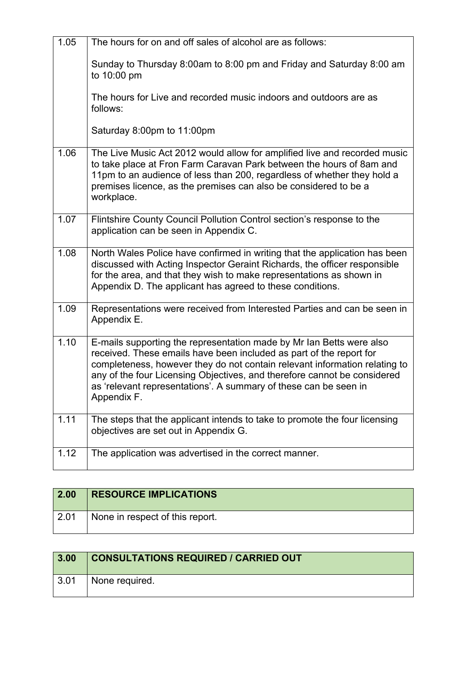| 1.05 | The hours for on and off sales of alcohol are as follows:                                                                                                                                                                                                                                                                                                                                |
|------|------------------------------------------------------------------------------------------------------------------------------------------------------------------------------------------------------------------------------------------------------------------------------------------------------------------------------------------------------------------------------------------|
|      | Sunday to Thursday 8:00am to 8:00 pm and Friday and Saturday 8:00 am<br>to 10:00 pm                                                                                                                                                                                                                                                                                                      |
|      | The hours for Live and recorded music indoors and outdoors are as<br>follows:                                                                                                                                                                                                                                                                                                            |
|      | Saturday 8:00pm to 11:00pm                                                                                                                                                                                                                                                                                                                                                               |
| 1.06 | The Live Music Act 2012 would allow for amplified live and recorded music<br>to take place at Fron Farm Caravan Park between the hours of 8am and<br>11pm to an audience of less than 200, regardless of whether they hold a<br>premises licence, as the premises can also be considered to be a<br>workplace.                                                                           |
| 1.07 | Flintshire County Council Pollution Control section's response to the<br>application can be seen in Appendix C.                                                                                                                                                                                                                                                                          |
| 1.08 | North Wales Police have confirmed in writing that the application has been<br>discussed with Acting Inspector Geraint Richards, the officer responsible<br>for the area, and that they wish to make representations as shown in<br>Appendix D. The applicant has agreed to these conditions.                                                                                             |
| 1.09 | Representations were received from Interested Parties and can be seen in<br>Appendix E.                                                                                                                                                                                                                                                                                                  |
| 1.10 | E-mails supporting the representation made by Mr Ian Betts were also<br>received. These emails have been included as part of the report for<br>completeness, however they do not contain relevant information relating to<br>any of the four Licensing Objectives, and therefore cannot be considered<br>as 'relevant representations'. A summary of these can be seen in<br>Appendix F. |
| 1.11 | The steps that the applicant intends to take to promote the four licensing<br>objectives are set out in Appendix G.                                                                                                                                                                                                                                                                      |
| 1.12 | The application was advertised in the correct manner.                                                                                                                                                                                                                                                                                                                                    |

| 2.00 | <b>RESOURCE IMPLICATIONS</b>    |
|------|---------------------------------|
| 2.01 | None in respect of this report. |

| 3.00               | <b>CONSULTATIONS REQUIRED / CARRIED OUT</b> |
|--------------------|---------------------------------------------|
| $\vert 3.01 \vert$ | None required.                              |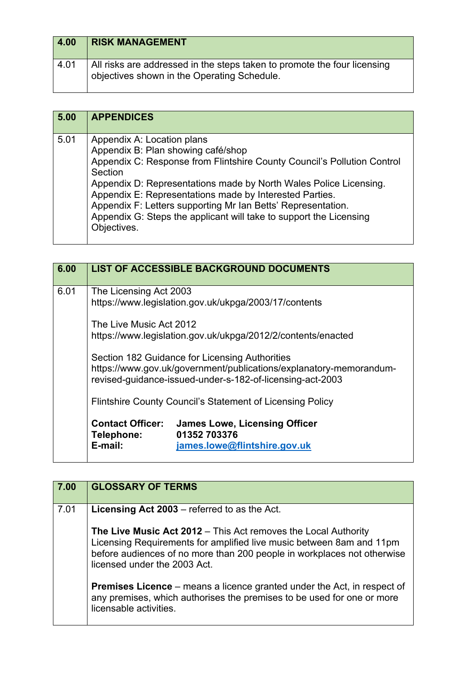| 4.00 | <b>RISK MANAGEMENT</b>                                                                                                  |
|------|-------------------------------------------------------------------------------------------------------------------------|
| 4.01 | All risks are addressed in the steps taken to promote the four licensing<br>objectives shown in the Operating Schedule. |

| 5.00 | <b>APPENDICES</b>                                                                                                                                                                                                                                                                                                                                                                                                                           |
|------|---------------------------------------------------------------------------------------------------------------------------------------------------------------------------------------------------------------------------------------------------------------------------------------------------------------------------------------------------------------------------------------------------------------------------------------------|
| 5.01 | Appendix A: Location plans<br>Appendix B: Plan showing café/shop<br>Appendix C: Response from Flintshire County Council's Pollution Control<br>Section<br>Appendix D: Representations made by North Wales Police Licensing.<br>Appendix E: Representations made by Interested Parties.<br>Appendix F: Letters supporting Mr Ian Betts' Representation.<br>Appendix G: Steps the applicant will take to support the Licensing<br>Objectives. |

| 6.00 | <b>LIST OF ACCESSIBLE BACKGROUND DOCUMENTS</b>                                                                                                                                    |
|------|-----------------------------------------------------------------------------------------------------------------------------------------------------------------------------------|
| 6.01 | The Licensing Act 2003<br>https://www.legislation.gov.uk/ukpga/2003/17/contents                                                                                                   |
|      | The Live Music Act 2012<br>https://www.legislation.gov.uk/ukpga/2012/2/contents/enacted                                                                                           |
|      | Section 182 Guidance for Licensing Authorities<br>https://www.gov.uk/government/publications/explanatory-memorandum-<br>revised-guidance-issued-under-s-182-of-licensing-act-2003 |
|      | Flintshire County Council's Statement of Licensing Policy                                                                                                                         |
|      | <b>Contact Officer:</b><br><b>James Lowe, Licensing Officer</b><br>01352 703376<br>Telephone:<br>E-mail:<br>james.lowe@flintshire.gov.uk                                          |

| 7.00 | <b>GLOSSARY OF TERMS</b>                                                                                                                                                                                                                                 |
|------|----------------------------------------------------------------------------------------------------------------------------------------------------------------------------------------------------------------------------------------------------------|
| 7.01 | <b>Licensing Act 2003</b> – referred to as the Act.                                                                                                                                                                                                      |
|      | <b>The Live Music Act 2012</b> – This Act removes the Local Authority<br>Licensing Requirements for amplified live music between 8am and 11pm<br>before audiences of no more than 200 people in workplaces not otherwise<br>licensed under the 2003 Act. |
|      | <b>Premises Licence</b> – means a licence granted under the Act, in respect of<br>any premises, which authorises the premises to be used for one or more<br>licensable activities.                                                                       |